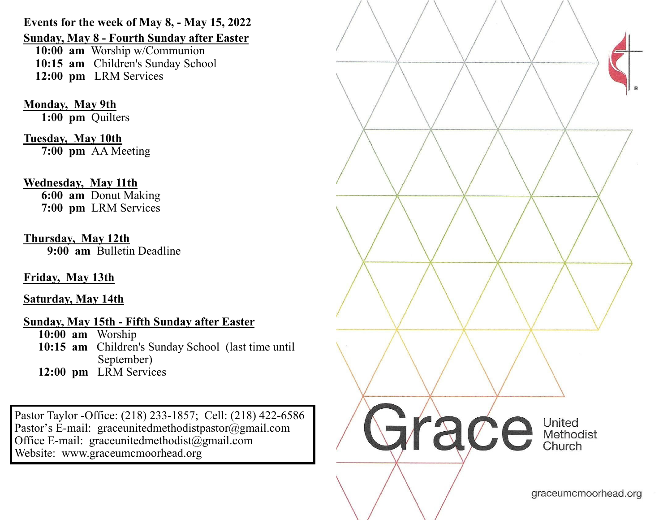#### **Events for the week of May 8, - May 15, 2022**

#### **Sunday, May 8 - Fourth Sunday after Easter**

**10:00 am** Worship w/Communion **10:15 am** Children's Sunday School **12:00 pm** LRM Services

## **Monday, May 9th**

1:00 pm Quilters

**Tuesday, May 10th 7:00 pm** AA Meeting

### **Wednesday, May 11th**

**6:00 am** Donut Making **7:00 pm** LRM Services

**Thursday, May 12th 9:00 am** Bulletin Deadline

**Friday, May 13th** 

**Saturday, May 14th** 

### **Sunday, May 15th - Fifth Sunday after Easter**

 **10:00 am** Worship **10:15 am** Children's Sunday School (last time until September)

**12:00 pm** LRM Services

Pastor Taylor -Office: (218) 233-1857; Cell: (218) 422-6586 Pastor's E-mail: graceunitedmethodistpastor@gmail.com Office E-mail: graceunitedmethodist@gmail.com Website: www.graceumcmoorhead.org